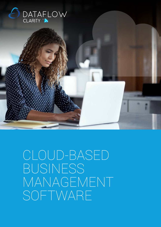

CLOUD-BASED BUSINESS MANAGEMENT SOFTWARE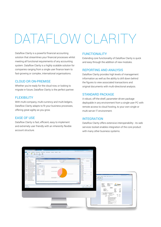# DATAFI OW CI ARITY

Dataflow Clarity is a powerful financial accounting solution that streamlines your financial processes whilst meeting all functional requirements of any accounting system. Dataflow Clarity is a highly scalable solution for companies ranging from a single user finance team to fast-growing or complex, international organisations.

#### CLOUD OR ON-PREMISE

Whether you're ready for the cloud now, or looking to migrate in future, Dataflow Clarity is the perfect partner.

#### **FLEXIBILITY**

With multi-company, multi-currency and multi-ledgers, Dataflow Clarity adapts to fit your business processes, offering great agility as you grow.

#### EASE OF USE

Dataflow Clarity is fast, efficient, easy to implement and extremely user friendly with an inherently flexible account structure.

#### **FUNCTIONALITY**

Extending core functionality of Dataflow Clarity is quick and easy through the addition of new modules.

#### REPORTING AND ANALYSIS

Dataflow Clarity provides high levels of management information as well as the ability to drill down behind the figures to view associated transactions and original documents with multi-directional analysis.

#### STANDARD PACKAGE

A robust, off-the-shelf, parameter-driven package deployable in any environment from a single-user PC with remote access to cloud hosting, to your own single or multi-server IT environment.

#### INTEGRATION

Dataflow Clarity offers extensive interoperability - its web services toolset enables integration of the core product with many other business systems.

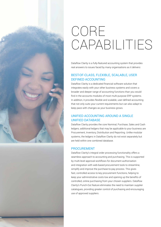

## CORE CAPABILITIES

Dataflow Clarity is a fully-featured accounting system that provides real answers to issues faced by many organisations as it delivers:

### BEST-OF-CLASS, FLEXIBLE, SCALABLE, USER DEFINED ACCOUNTING

Dataflow Clarity is a dedicated financial software solution that integrates easily with your other business systems and covers a broader and deeper range of accounting functions than you would find in the accounts modules of most multi-purpose ERP systems. In addition, it provides flexible and scalable, user-defined accounting that not only suits your current requirements but can also adapt to keep pace with changes as your business grows.

### UNIFIED ACCOUNTING AROUND A SINGLE UNIFIED DATABASE

Dataflow Clarity provides the core Nominal, Purchase, Sales and Cash ledgers; additional ledgers that may be applicable to your business are Procurement, Inventory, Distribution and Reporting. Unlike modular systems, the ledgers in Dataflow Clarity do not exist separately but are held within one combined database.

### PROCUREMENT

Dataflow Clarity's integral order processing functionality offers a seamless approach to accounting and purchasing. This is supported by multi-level approval workflows for document authorisation and integration with web-based procurement tools to streamline, simplify and improve the purchase-to-pay process. This gives fast, controlled access to key procurement functions, helping to keep your administrative costs low and opening up the benefits of controlled, online purchasing from your chosen suppliers. Dataflow Clarity's Punch-Out feature eliminates the need to maintain supplier catalogues, providing greater control of purchasing and encouraging use of approved suppliers.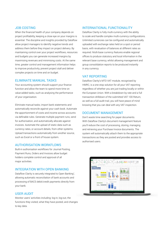#### JOB COSTING

When the financial health of your company depends on project profitability, keeping a close eye on your margins is essential. The discipline and insights provided by Dataflow allow project managers to identify negative trends and address them before they impact on project delivery. By maintaining control over your project workflows, resources and budgets you can generate increased margins by maximising revenues and minimising costs. At the same time, greater control and management information helps to improve productivity, prevent project stall and deliver complex projects on time and on budget.

#### ELIMINATE MANUAL TASKS

Your accounting system should support your finance function and allow the team to spend more time on value-added tasks, such as analysing the performance of your organisation.

Eliminate manual tasks; import bank statements and automatically reconcile against your cash book. Automate the apportionment of costs and income across accounts via definable rules. Generate multiple payment runs, send for authorisation, and automatically allocate against invoices. Automate the upload of static data such as currency rates, or account details, from other systems. Upload transactions automatically from another source, such as Excel or a front of house system.

#### AUTHORISATION WORKFLOWS

Built-in authorisation workflows for Journal Posting, Payment Runs, Orders and Invoices allow budget holders complete control and approval of all major activities.

#### INTEGRATION WITH OPEN BANKING

Dataflow Clarity is securely integrated to Open Banking<sup>1</sup>, allowing automatic reconciliation of bank accounts and processing of BACS debit/credit payments directly from your bank.

#### USER AUDIT

Monitor users' activities including: log-in, log-out, the functions they visited, what they have posted, and changes to key data.

### INTERNATIONAL FUNCTIONALITY

Dataflow Clarity is fully multi-currency with the ability to scale and handle complex multi-currency configurations. Unlimited currencies can be configured and automatically uploaded with exchange rates held on a spot or period basis, with revaluation of balances at different rates as required. Multi-base currency features enable regional offices to produce statutory and local information in the relevant base currency, whilst allowing management and group consolidation reports to be produced instantly in any currency.

#### VAT REPORTING

Dataflow Clarity's MTD VAT module, recognised by HMRC, is a one stop solution for all your VAT reporting regardless of whether you are just trading locally or within the European Union. With a breakdown by rate and a full transaction drilldown of the submitted VAT 100 Return, as well as a full audit trail, you will have peace of mind knowing that you can deal with any VAT inspection.

#### DOCUMENT MANAGEMENT

Don't waste time searching for paper documents. With Dataflow Clarity's document management feature you'll reduce the cost of processing, storing, managing and retrieving your Purchase Invoice documents. The system will automatically attach them to the appropriate transactions as they are posted and provides access to authorised users.

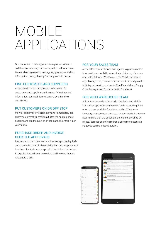## MOBILE APPLICATIONS

Our innovative mobile apps increase productivity and collaboration across your finance, sales and warehouse teams, allowing users to manage key processes and find information quickly, directly from any android device.

#### FIND CUSTOMERS AND SUPPLIERS

Access basic details and contact information for customers and suppliers on the move. View financial information, contact information and whether they are on stop.

#### PUT CUSTOMERS ON OR OFF STOP

Monitor customer limits remotely and immediately see customers over their credit limit. Use the app to update account and put them on-or-off stop and allow trading on your terms.

#### PURCHASE ORDER AND INVOICE REGISTER APPROVALS

Ensure purchase orders and invoices are approved quickly and prevent bottlenecks by enabling immediate approval of invoices, directly from the app with the click of the button. Budget holders will only see orders and invoices that are relevant to them.

#### FOR YOUR SALES TEAM

Allow sales representatives and agents to process orders from customers with the utmost simplicity, anywhere, on any android device. What's more, the Mobile Salesman app allows you to process orders in real-time and provides full integration with your back-office Financial and Supply Chain Management Systems on ONE platform.

#### FOR YOUR WAREHOUSE TEAM

Ship your sales orders faster with the dedicated Mobile Warehouse app. Goods-in are recorded into stock quicker making them available for picking earlier. Warehouse inventory management ensures that your stock figures are accurate and that the goods are there on the shelf to be picked. Barcode scanning makes picking more accurate so goods can be shipped quicker.

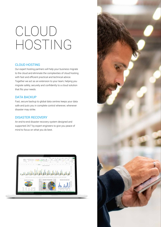## CLOUD HOSTING

#### CLOUD HOSTING

Our expert hosting partners will help your business migrate to the cloud and eliminate the complexities of cloud hosting with fast and efficient practical and technical advice. Together we act as an extension to your team, helping you migrate safely, securely and confidently to a cloud solution that fits your needs.

#### DATA BACKUP

Fast, secure backup to global data centres keeps your data safe and puts you in complete control wherever, whenever disaster may strike.

#### DISASTER RECOVERY

An end-to-end disaster recovery system designed and supported 24/7 by expert engineers to give you peace of mind to focus on what you do best.